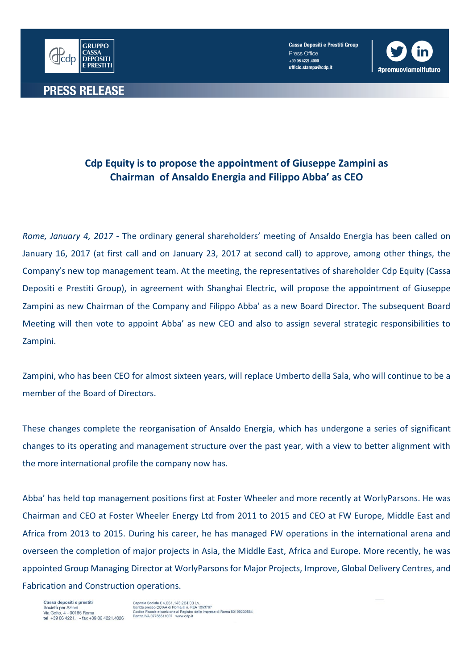

**Cassa Depositi e Prestiti Group** Press Office +39 06 4221.4000 ufficio.stampa@cdp.it



## **Cdp Equity is to propose the appointment of Giuseppe Zampini as Chairman of Ansaldo Energia and Filippo Abba' as CEO**

*Rome, January 4, 2017* - The ordinary general shareholders' meeting of Ansaldo Energia has been called on January 16, 2017 (at first call and on January 23, 2017 at second call) to approve, among other things, the Company's new top management team. At the meeting, the representatives of shareholder Cdp Equity (Cassa Depositi e Prestiti Group), in agreement with Shanghai Electric, will propose the appointment of Giuseppe Zampini as new Chairman of the Company and Filippo Abba' as a new Board Director. The subsequent Board Meeting will then vote to appoint Abba' as new CEO and also to assign several strategic responsibilities to Zampini.

Zampini, who has been CEO for almost sixteen years, will replace Umberto della Sala, who will continue to be a member of the Board of Directors.

These changes complete the reorganisation of Ansaldo Energia, which has undergone a series of significant changes to its operating and management structure over the past year, with a view to better alignment with the more international profile the company now has.

Abba' has held top management positions first at Foster Wheeler and more recently at WorlyParsons. He was Chairman and CEO at Foster Wheeler Energy Ltd from 2011 to 2015 and CEO at FW Europe, Middle East and Africa from 2013 to 2015. During his career, he has managed FW operations in the international arena and overseen the completion of major projects in Asia, the Middle East, Africa and Europe. More recently, he was appointed Group Managing Director at WorlyParsons for Major Projects, Improve, Global Delivery Centres, and Fabrication and Construction operations.

Cassa depositi e prestiti<br>Società per Azioni<br>Via Goito, 4 - 00185 Roma tel +39 06 4221 1 - fax +39 06 4221 4026 Capitale Sociale € 4.051.143.264,00 i.v.<br>Iscritta presso CCIAA di Roma al n. REA 1053767<br>Codice Fiscale e iscrizione al Registro delle Impres<br>Partita IVA 07756511007 www.cdp.it ..<br>rese di Roma 80199230584